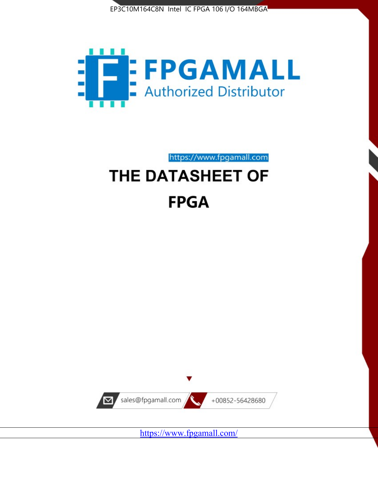



https://www.fpgamall.com

# THE DATASHEET OF **FPGA**



<https://www.fpgamall.com/>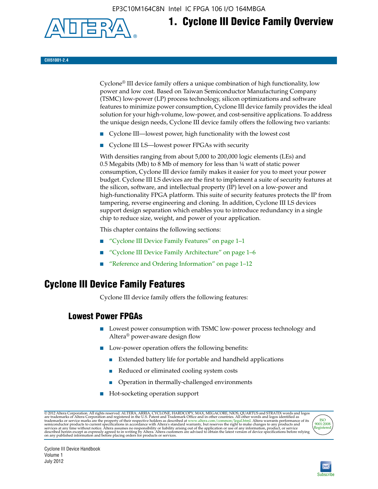EP3C10M164C8N Intel IC FPGA 106 I/O 164MBGA



# **1. Cyclone III Device Family Overview**

**CIII51001-2.4**

Cyclone® III device family offers a unique combination of high functionality, low power and low cost. Based on Taiwan Semiconductor Manufacturing Company (TSMC) low-power (LP) process technology, silicon optimizations and software features to minimize power consumption, Cyclone III device family provides the ideal solution for your high-volume, low-power, and cost-sensitive applications. To address the unique design needs, Cyclone III device family offers the following two variants:

- Cyclone III—lowest power, high functionality with the lowest cost
- Cyclone III LS—lowest power FPGAs with security

With densities ranging from about 5,000 to 200,000 logic elements (LEs) and 0.5 Megabits (Mb) to 8 Mb of memory for less than  $\frac{1}{4}$  watt of static power consumption, Cyclone III device family makes it easier for you to meet your power budget. Cyclone III LS devices are the first to implement a suite of security features at the silicon, software, and intellectual property (IP) level on a low-power and high-functionality FPGA platform. This suite of security features protects the IP from tampering, reverse engineering and cloning. In addition, Cyclone III LS devices support design separation which enables you to introduce redundancy in a single chip to reduce size, weight, and power of your application.

This chapter contains the following sections:

- "Cyclone III Device Family Features" on page 1–1
- "Cyclone III Device Family Architecture" on page 1–6
- "Reference and Ordering Information" on page 1–12

## **Cyclone III Device Family Features**

Cyclone III device family offers the following features:

#### **Lowest Power FPGAs**

- Lowest power consumption with TSMC low-power process technology and Altera® power-aware design flow
- Low-power operation offers the following benefits:
	- Extended battery life for portable and handheld applications
	- Reduced or eliminated cooling system costs
	- Operation in thermally-challenged environments
- Hot-socketing operation support

@ 2012 Altera Corporation. All rights reserved. ALTERA, ARRIA, CYCLONE, HARDCOPY, MAX, MEGACORE, NIOS, QUARTUS and STRATIX words and logos are trademarks of Altera Corporation and registered in the U.S. Patent and Trademar



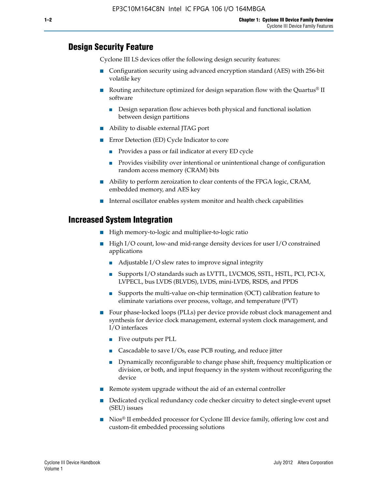#### **Design Security Feature**

Cyclone III LS devices offer the following design security features:

- Configuration security using advanced encryption standard (AES) with 256-bit volatile key
- **■** Routing architecture optimized for design separation flow with the Quartus<sup>®</sup> II software
	- Design separation flow achieves both physical and functional isolation between design partitions
- Ability to disable external JTAG port
- Error Detection (ED) Cycle Indicator to core
	- Provides a pass or fail indicator at every ED cycle
	- Provides visibility over intentional or unintentional change of configuration random access memory (CRAM) bits
- Ability to perform zeroization to clear contents of the FPGA logic, CRAM, embedded memory, and AES key
- Internal oscillator enables system monitor and health check capabilities

#### **Increased System Integration**

- High memory-to-logic and multiplier-to-logic ratio
- High I/O count, low-and mid-range density devices for user I/O constrained applications
	- Adjustable I/O slew rates to improve signal integrity
	- Supports I/O standards such as LVTTL, LVCMOS, SSTL, HSTL, PCI, PCI-X, LVPECL, bus LVDS (BLVDS), LVDS, mini-LVDS, RSDS, and PPDS
	- Supports the multi-value on-chip termination (OCT) calibration feature to eliminate variations over process, voltage, and temperature (PVT)
- Four phase-locked loops (PLLs) per device provide robust clock management and synthesis for device clock management, external system clock management, and I/O interfaces
	- Five outputs per PLL
	- Cascadable to save I/Os, ease PCB routing, and reduce jitter
	- Dynamically reconfigurable to change phase shift, frequency multiplication or division, or both, and input frequency in the system without reconfiguring the device
- Remote system upgrade without the aid of an external controller
- Dedicated cyclical redundancy code checker circuitry to detect single-event upset (SEU) issues
- Nios<sup>®</sup> II embedded processor for Cyclone III device family, offering low cost and custom-fit embedded processing solutions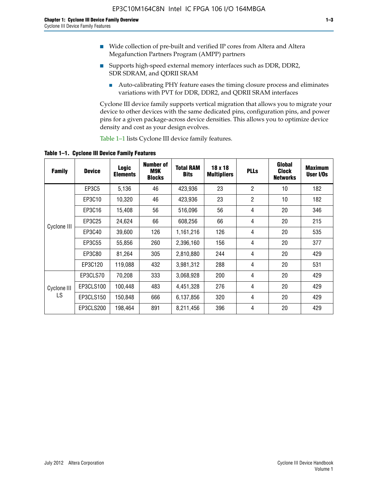- Wide collection of pre-built and verified IP cores from Altera and Altera Megafunction Partners Program (AMPP) partners
- Supports high-speed external memory interfaces such as DDR, DDR2, SDR SDRAM, and QDRII SRAM
	- Auto-calibrating PHY feature eases the timing closure process and eliminates variations with PVT for DDR, DDR2, and QDRII SRAM interfaces

Cyclone III device family supports vertical migration that allows you to migrate your device to other devices with the same dedicated pins, configuration pins, and power pins for a given package-across device densities. This allows you to optimize device density and cost as your design evolves.

Table 1–1 lists Cyclone III device family features.

**Table 1–1. Cyclone III Device Family Features**

| <b>Family</b>     | <b>Device</b> | Logic<br><b>Elements</b> | <b>Number of</b><br>M9K<br><b>Blocks</b> | <b>Total RAM</b><br><b>Bits</b> | 18 x 18<br><b>Multipliers</b> | <b>PLLs</b>    | Global<br><b>Clock</b><br><b>Networks</b> | <b>Maximum</b><br>User I/Os |
|-------------------|---------------|--------------------------|------------------------------------------|---------------------------------|-------------------------------|----------------|-------------------------------------------|-----------------------------|
|                   | EP3C5         | 5,136                    | 46                                       | 423,936                         | 23                            | $\overline{2}$ | 10                                        | 182                         |
|                   | EP3C10        | 10,320                   | 46                                       | 423,936                         | 23                            | $\overline{2}$ | 10                                        | 182                         |
|                   | EP3C16        | 15,408                   | 56                                       | 516,096                         | 56                            | 4              | 20                                        | 346                         |
| Cyclone III       | EP3C25        | 24,624                   | 66                                       | 608,256                         | 66                            | 4              | 20                                        | 215                         |
|                   | EP3C40        | 39,600                   | 126                                      | 1,161,216                       | 126                           | 4              | 20                                        | 535                         |
|                   | EP3C55        | 55,856                   | 260                                      | 2,396,160                       | 156                           | 4              | 20                                        | 377                         |
|                   | EP3C80        | 81,264                   | 305                                      | 2,810,880                       | 244                           | 4              | 20                                        | 429                         |
|                   | EP3C120       | 119,088                  | 432                                      | 3,981,312                       | 288                           | 4              | 20                                        | 531                         |
|                   | EP3CLS70      | 70,208                   | 333                                      | 3,068,928                       | 200                           | 4              | 20                                        | 429                         |
| Cyclone III<br>LS | EP3CLS100     | 100,448                  | 483                                      | 4,451,328                       | 276                           | 4              | 20                                        | 429                         |
|                   | EP3CLS150     | 150,848                  | 666                                      | 6,137,856                       | 320                           | 4              | 20                                        | 429                         |
|                   | EP3CLS200     | 198,464                  | 891                                      | 8,211,456                       | 396                           | 4              | 20                                        | 429                         |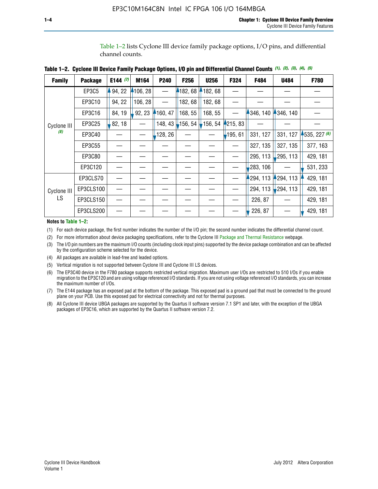Table 1–2 lists Cyclone III device family package options, I/O pins, and differential channel counts.

|  |  | Table 1–2. Cyclone III Device Family Package Options, I/O pin and Differential Channel Counts (1), (2), (3), (4), (5) |  |  |  |  |  |
|--|--|-----------------------------------------------------------------------------------------------------------------------|--|--|--|--|--|
|--|--|-----------------------------------------------------------------------------------------------------------------------|--|--|--|--|--|

| <b>Family</b>     | <b>Package</b> | E144 $(7)$ | M164     | P240    | <b>F256</b> | <b>U256</b> | F324    | F484     | <b>U484</b> | F780           |
|-------------------|----------------|------------|----------|---------|-------------|-------------|---------|----------|-------------|----------------|
|                   | EP3C5          | 94, 22     | 4106, 28 |         | 4182,68     | 182,68      |         |          |             |                |
|                   | EP3C10         | 94, 22     | 106, 28  |         | 182, 68     | 182, 68     |         |          |             |                |
|                   | EP3C16         | 84, 19     | 92, 23   | 160, 47 | 168, 55     | 168, 55     |         | 346, 140 | 4346, 140   |                |
| Cyclone III       | EP3C25         | 82, 18     |          | 148, 43 | $-156, 54$  | 156, 54     | 215, 83 |          |             |                |
| (8)               | EP3C40         |            |          | 128, 26 |             |             | 195, 61 | 331, 127 | 331, 127    | $-535, 227(6)$ |
|                   | EP3C55         |            |          |         |             |             |         | 327, 135 | 327, 135    | 377, 163       |
|                   | EP3C80         |            |          |         |             |             |         | 295, 113 | ,295, 113   | 429, 181       |
|                   | EP3C120        |            |          |         |             |             |         | 283, 106 |             | 531, 233       |
|                   | EP3CLS70       |            |          |         |             |             |         | 294, 113 | 4294, 113   | 429, 181       |
| Cyclone III<br>LS | EP3CLS100      |            |          |         |             |             |         | 294, 113 | 294, 113    | 429, 181       |
|                   | EP3CLS150      |            |          |         |             |             |         | 226, 87  |             | 429, 181       |
|                   | EP3CLS200      |            |          |         |             |             |         | 226, 87  |             | 429, 181       |

**Notes to Table 1–2:**

(1) For each device package, the first number indicates the number of the I/O pin; the second number indicates the differential channel count.

(2) For more information about device packaging specifications, refer to the Cyclone III [Package and Thermal Resistance](http://www.altera.com/support/devices/packaging/specifications/pkg-pin/dev-package-listing.jsp?device=Cyclone_III) webpage.

(3) The I/O pin numbers are the maximum I/O counts (including clock input pins) supported by the device package combination and can be affected by the configuration scheme selected for the device.

(4) All packages are available in lead-free and leaded options.

(5) Vertical migration is not supported between Cyclone III and Cyclone III LS devices.

(6) The EP3C40 device in the F780 package supports restricted vertical migration. Maximum user I/Os are restricted to 510 I/Os if you enable migration to the EP3C120 and are using voltage referenced I/O standards. If you are not using voltage referenced I/O standards, you can increase the maximum number of I/Os.

(7) The E144 package has an exposed pad at the bottom of the package. This exposed pad is a ground pad that must be connected to the ground plane on your PCB. Use this exposed pad for electrical connectivity and not for thermal purposes.

(8) All Cyclone III device UBGA packages are supported by the Quartus II software version 7.1 SP1 and later, with the exception of the UBGA packages of EP3C16, which are supported by the Quartus II software version 7.2.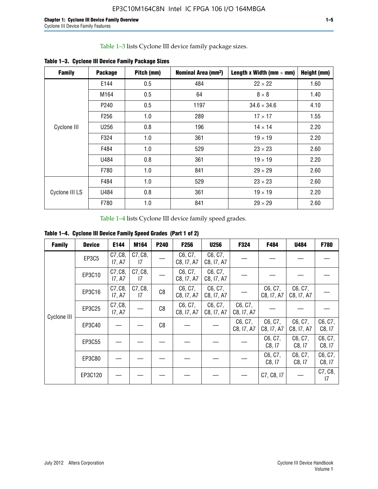Table 1–3 lists Cyclone III device family package sizes.

| <b>Family</b>  | <b>Package</b>   | Pitch (mm) | Nominal Area (mm <sup>2</sup> ) | Length x Width (mm $\times$ mm) | Height (mm) |
|----------------|------------------|------------|---------------------------------|---------------------------------|-------------|
|                | E144             | 0.5        | 484                             | $22 \times 22$                  | 1.60        |
|                | M164             | 0.5        | 64                              | $8 \times 8$                    | 1.40        |
|                | P <sub>240</sub> | 0.5        | 1197                            | $34.6 \times 34.6$              | 4.10        |
|                | F <sub>256</sub> | 1.0        | 289                             | $17 \times 17$                  | 1.55        |
| Cyclone III    | U256             | 0.8        | 196                             | $14 \times 14$                  | 2.20        |
|                | F324             | 1.0        | 361                             | $19 \times 19$                  | 2.20        |
|                | F484             | 1.0        | 529                             | $23 \times 23$                  | 2.60        |
|                | U484             | 0.8        | 361                             | $19 \times 19$                  | 2.20        |
|                | F780             | 1.0        | 841                             | $29 \times 29$                  | 2.60        |
|                | F484             | 1.0        | 529                             | $23 \times 23$                  | 2.60        |
| Cyclone III LS | U484             | 0.8        | 361                             | $19 \times 19$                  | 2.20        |
|                | F780             | 1.0        | 841                             | $29 \times 29$                  | 2.60        |

**Table 1–3. Cyclone III Device Family Package Sizes**

Table 1–4 lists Cyclone III device family speed grades.

**Table 1–4. Cyclone III Device Family Speed Grades (Part 1 of 2)**

| <b>Family</b> | <b>Device</b> | E144              | M164          | <b>P240</b> | F <sub>256</sub>      | <b>U256</b>           | F324                  | F484                  | U484                  | <b>F780</b>       |
|---------------|---------------|-------------------|---------------|-------------|-----------------------|-----------------------|-----------------------|-----------------------|-----------------------|-------------------|
|               | <b>EP3C5</b>  | C7, C8,<br>17, A7 | C7, C8,<br>17 |             | C6, C7,<br>C8, I7, A7 | C6, C7,<br>C8, I7, A7 |                       |                       |                       |                   |
|               | EP3C10        | C7, C8,<br>17, A7 | C7, C8,<br>17 |             | C6, C7,<br>C8, I7, A7 | C6, C7,<br>C8, I7, A7 |                       |                       |                       |                   |
|               | EP3C16        | C7, C8,<br>17, A7 | C7, C8,<br>17 | C8          | C6, C7,<br>C8, I7, A7 | C6, C7,<br>C8, I7, A7 |                       | C6, C7,<br>C8, I7, A7 | C6, C7,<br>C8, I7, A7 |                   |
| Cyclone III   | EP3C25        | C7, C8,<br>17, A7 |               | C8          | C6, C7,<br>C8, I7, A7 | C6, C7,<br>C8, I7, A7 | C6, C7,<br>C8, I7, A7 |                       |                       |                   |
|               | EP3C40        |                   |               | C8          |                       |                       | C6, C7,<br>C8, I7, A7 | C6, C7,<br>C8, I7, A7 | C6, C7,<br>C8, I7, A7 | C6, C7,<br>C8, 17 |
|               | EP3C55        |                   |               |             |                       |                       |                       | C6, C7,<br>C8, 17     | C6, C7,<br>C8, 17     | C6, C7,<br>C8, 17 |
|               | EP3C80        |                   |               |             |                       |                       |                       | C6, C7,<br>C8, 17     | C6, C7,<br>C8, 17     | C6, C7,<br>C8, 17 |
|               | EP3C120       |                   |               |             |                       |                       |                       | C7, C8, I7            |                       | C7, C8,<br>17     |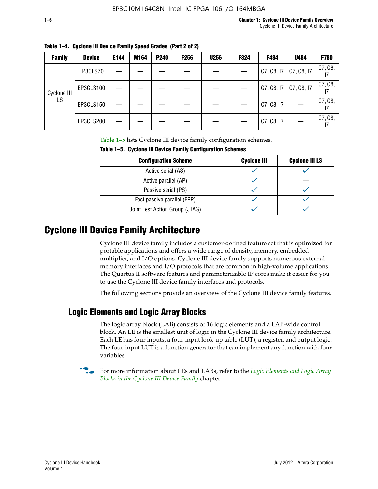I7

I7

|               | Table 1–4. Cyclone III Device Family Speed Grades (Part 2 of 2) |      |      |                  |                  |             |      |                                       |      |             |
|---------------|-----------------------------------------------------------------|------|------|------------------|------------------|-------------|------|---------------------------------------|------|-------------|
| <b>Family</b> | <b>Device</b>                                                   | E144 | M164 | P <sub>240</sub> | F <sub>256</sub> | <b>U256</b> | F324 | F484                                  | U484 | <b>F780</b> |
|               | EP3CLS70                                                        |      |      |                  |                  |             |      | $\vert$ C7, C8, I7 $\vert$ C7, C8, I7 |      | C7, C8,     |
| Cyclone III   | EP3CLS100                                                       |      |      |                  |                  |             |      |                                       |      | C7, C8,     |

**Table 1–4. Cyclone III Device Family Speed Grades (Part 2 of 2)**

Table 1–5 lists Cyclone III device family configuration schemes.

| <u>tasto T of Afonalia ili pottoo Falilitt oolitigatatioli oolioliigo</u> |                    |                       |  |  |  |
|---------------------------------------------------------------------------|--------------------|-----------------------|--|--|--|
| <b>Configuration Scheme</b>                                               | <b>Cyclone III</b> | <b>Cyclone III LS</b> |  |  |  |
| Active serial (AS)                                                        |                    |                       |  |  |  |
| Active parallel (AP)                                                      |                    |                       |  |  |  |
| Passive serial (PS)                                                       |                    |                       |  |  |  |
| Fast passive parallel (FPP)                                               |                    |                       |  |  |  |
| Joint Test Action Group (JTAG)                                            |                    |                       |  |  |  |

EP3CLS150  $| - | - | - | - | - | - | - | - |$  C7, C8, I7  $| - |$  C7, C8,

EP3CLS200  $| - | - | - | - | - | - | - | - |$  C7, C8, I7  $| - |$  C7, C8,

**Table 1–5. Cyclone III Device Family Configuration Schemes**

## **Cyclone III Device Family Architecture**

Cyclone III device family includes a customer-defined feature set that is optimized for portable applications and offers a wide range of density, memory, embedded multiplier, and I/O options. Cyclone III device family supports numerous external memory interfaces and I/O protocols that are common in high-volume applications. The Quartus II software features and parameterizable IP cores make it easier for you to use the Cyclone III device family interfaces and protocols.

The following sections provide an overview of the Cyclone III device family features.

#### **Logic Elements and Logic Array Blocks**

The logic array block (LAB) consists of 16 logic elements and a LAB-wide control block. An LE is the smallest unit of logic in the Cyclone III device family architecture. Each LE has four inputs, a four-input look-up table (LUT), a register, and output logic. The four-input LUT is a function generator that can implement any function with four variables.

f For more information about LEs and LABs, refer to the *[Logic Elements and Logic Array](http://www.altera.com/literature/hb/cyc3/cyc3_ciii51002.pdf)  [Blocks in the Cyclone III Device Family](http://www.altera.com/literature/hb/cyc3/cyc3_ciii51002.pdf)* chapter.

LS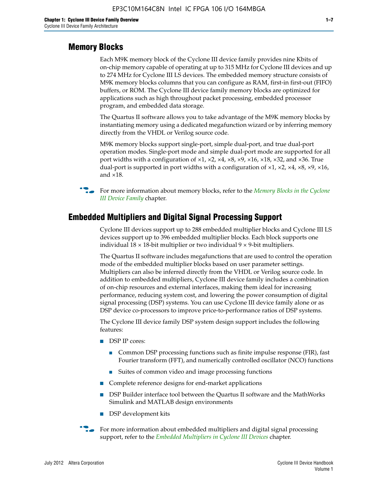#### **Memory Blocks**

Each M9K memory block of the Cyclone III device family provides nine Kbits of on-chip memory capable of operating at up to 315 MHz for Cyclone III devices and up to 274 MHz for Cyclone III LS devices. The embedded memory structure consists of M9K memory blocks columns that you can configure as RAM, first-in first-out (FIFO) buffers, or ROM. The Cyclone III device family memory blocks are optimized for applications such as high throughout packet processing, embedded processor program, and embedded data storage.

The Quartus II software allows you to take advantage of the M9K memory blocks by instantiating memory using a dedicated megafunction wizard or by inferring memory directly from the VHDL or Verilog source code.

M9K memory blocks support single-port, simple dual-port, and true dual-port operation modes. Single-port mode and simple dual-port mode are supported for all port widths with a configuration of  $\times1$ ,  $\times2$ ,  $\times4$ ,  $\times8$ ,  $\times9$ ,  $\times16$ ,  $\times18$ ,  $\times32$ , and  $\times36$ . True dual-port is supported in port widths with a configuration of  $\times$ 1,  $\times$ 2,  $\times$ 4,  $\times$ 8,  $\times$ 9,  $\times$ 16, and ×18.



**For more information about memory blocks, refer to the** *Memory Blocks in the Cyclone [III Device Family](http://www.altera.com/literature/hb/cyc3/cyc3_ciii51004.pdf)* chapter.

#### **Embedded Multipliers and Digital Signal Processing Support**

Cyclone III devices support up to 288 embedded multiplier blocks and Cyclone III LS devices support up to 396 embedded multiplier blocks. Each block supports one individual  $18 \times 18$ -bit multiplier or two individual  $9 \times 9$ -bit multipliers.

The Quartus II software includes megafunctions that are used to control the operation mode of the embedded multiplier blocks based on user parameter settings. Multipliers can also be inferred directly from the VHDL or Verilog source code. In addition to embedded multipliers, Cyclone III device family includes a combination of on-chip resources and external interfaces, making them ideal for increasing performance, reducing system cost, and lowering the power consumption of digital signal processing (DSP) systems. You can use Cyclone III device family alone or as DSP device co-processors to improve price-to-performance ratios of DSP systems.

The Cyclone III device family DSP system design support includes the following features:

- DSP IP cores:
	- Common DSP processing functions such as finite impulse response (FIR), fast Fourier transform (FFT), and numerically controlled oscillator (NCO) functions
	- Suites of common video and image processing functions
- Complete reference designs for end-market applications
- DSP Builder interface tool between the Quartus II software and the MathWorks Simulink and MATLAB design environments
- DSP development kits
- For more information about embedded multipliers and digital signal processing support, refer to the *[Embedded Multipliers in Cyclone III Devices](http://www.altera.com/literature/hb/cyc3/cyc3_ciii51005.pdf)* chapter.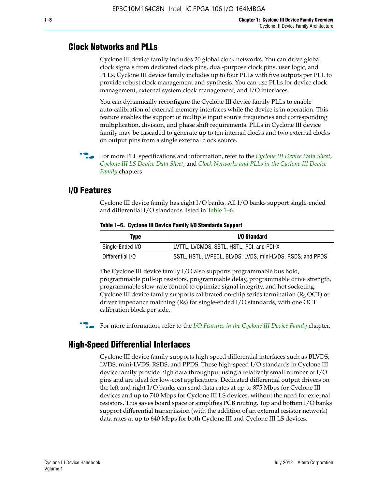#### **Clock Networks and PLLs**

Cyclone III device family includes 20 global clock networks. You can drive global clock signals from dedicated clock pins, dual-purpose clock pins, user logic, and PLLs. Cyclone III device family includes up to four PLLs with five outputs per PLL to provide robust clock management and synthesis. You can use PLLs for device clock management, external system clock management, and I/O interfaces.

You can dynamically reconfigure the Cyclone III device family PLLs to enable auto-calibration of external memory interfaces while the device is in operation. This feature enables the support of multiple input source frequencies and corresponding multiplication, division, and phase shift requirements. PLLs in Cyclone III device family may be cascaded to generate up to ten internal clocks and two external clocks on output pins from a single external clock source.

**For more PLL specifications and information, refer to the** *[Cyclone III Device Data Sheet](http://www.altera.com/literature/hb/cyc3/cyc3_ciii52001.pdf)***,** *[Cyclone III LS Device Data Sheet](http://www.altera.com/literature/hb/cyc3/cyc3_ciii52002.pdf)*, and *[Clock Networks and PLLs in the Cyclone III Device](http://www.altera.com/literature/hb/cyc3/cyc3_ciii51006.pdf)  [Family](http://www.altera.com/literature/hb/cyc3/cyc3_ciii51006.pdf)* chapters.

#### **I/O Features**

Cyclone III device family has eight I/O banks. All I/O banks support single-ended and differential I/O standards listed in Table 1–6.

| Type             | <b>I/O Standard</b>                                        |
|------------------|------------------------------------------------------------|
| Single-Ended I/O | LVTTL, LVCMOS, SSTL, HSTL, PCI, and PCI-X                  |
| Differential I/O | SSTL, HSTL, LVPECL, BLVDS, LVDS, mini-LVDS, RSDS, and PPDS |

**Table 1–6. Cyclone III Device Family I/O Standards Support** 

The Cyclone III device family I/O also supports programmable bus hold, programmable pull-up resistors, programmable delay, programmable drive strength, programmable slew-rate control to optimize signal integrity, and hot socketing. Cyclone III device family supports calibrated on-chip series termination ( $R_S$  OCT) or driver impedance matching (Rs) for single-ended I/O standards, with one OCT calibration block per side.

For more information, refer to the *[I/O Features in the Cyclone III Device Family](http://www.altera.com/literature/hb/cyc3/cyc3_ciii51007.pdf)* chapter.

#### **High-Speed Differential Interfaces**

Cyclone III device family supports high-speed differential interfaces such as BLVDS, LVDS, mini-LVDS, RSDS, and PPDS. These high-speed I/O standards in Cyclone III device family provide high data throughput using a relatively small number of I/O pins and are ideal for low-cost applications. Dedicated differential output drivers on the left and right I/O banks can send data rates at up to 875 Mbps for Cyclone III devices and up to 740 Mbps for Cyclone III LS devices, without the need for external resistors. This saves board space or simplifies PCB routing. Top and bottom I/O banks support differential transmission (with the addition of an external resistor network) data rates at up to 640 Mbps for both Cyclone III and Cyclone III LS devices.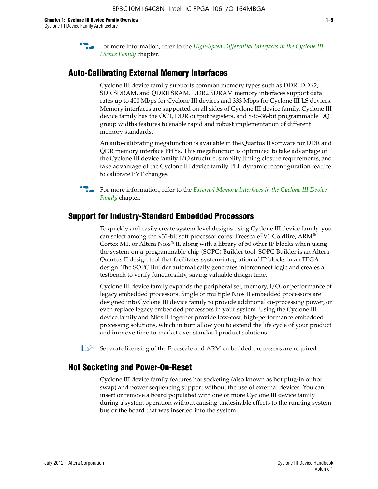**For more information, refer to the** *High-Speed Differential Interfaces in the Cyclone III* $\overline{a}$ *[Device Family](http://www.altera.com/literature/hb/cyc3/cyc3_ciii51008.pdf)* chapter.

#### **Auto-Calibrating External Memory Interfaces**

Cyclone III device family supports common memory types such as DDR, DDR2, SDR SDRAM, and QDRII SRAM. DDR2 SDRAM memory interfaces support data rates up to 400 Mbps for Cyclone III devices and 333 Mbps for Cyclone III LS devices. Memory interfaces are supported on all sides of Cyclone III device family. Cyclone III device family has the OCT, DDR output registers, and 8-to-36-bit programmable DQ group widths features to enable rapid and robust implementation of different memory standards.

An auto-calibrating megafunction is available in the Quartus II software for DDR and QDR memory interface PHYs. This megafunction is optimized to take advantage of the Cyclone III device family I/O structure, simplify timing closure requirements, and take advantage of the Cyclone III device family PLL dynamic reconfiguration feature to calibrate PVT changes.



**For more information, refer to the** *External Memory Interfaces in the Cyclone III Device* $\overline{\phantom{a}}$ *[Family](http://www.altera.com/literature/hb/cyc3/cyc3_ciii51009.pdf)* chapter.

#### **Support for Industry-Standard Embedded Processors**

To quickly and easily create system-level designs using Cyclone III device family, you can select among the ×32-bit soft processor cores: Freescale®V1 Coldfire, ARM® Cortex M1, or Altera Nios® II, along with a library of 50 other IP blocks when using the system-on-a-programmable-chip (SOPC) Builder tool. SOPC Builder is an Altera Quartus II design tool that facilitates system-integration of IP blocks in an FPGA design. The SOPC Builder automatically generates interconnect logic and creates a testbench to verify functionality, saving valuable design time.

Cyclone III device family expands the peripheral set, memory, I/O, or performance of legacy embedded processors. Single or multiple Nios II embedded processors are designed into Cyclone III device family to provide additional co-processing power, or even replace legacy embedded processors in your system. Using the Cyclone III device family and Nios II together provide low-cost, high-performance embedded processing solutions, which in turn allow you to extend the life cycle of your product and improve time-to-market over standard product solutions.

 $\mathbb{I}$  Separate licensing of the Freescale and ARM embedded processors are required.

#### **Hot Socketing and Power-On-Reset**

Cyclone III device family features hot socketing (also known as hot plug-in or hot swap) and power sequencing support without the use of external devices. You can insert or remove a board populated with one or more Cyclone III device family during a system operation without causing undesirable effects to the running system bus or the board that was inserted into the system.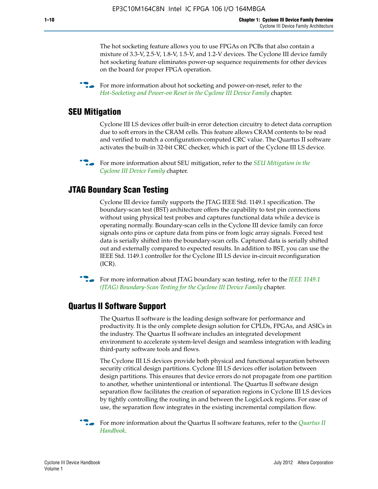The hot socketing feature allows you to use FPGAs on PCBs that also contain a mixture of 3.3-V, 2.5-V, 1.8-V, 1.5-V, and 1.2-V devices. The Cyclone III device family hot socketing feature eliminates power-up sequence requirements for other devices on the board for proper FPGA operation.

For more information about hot socketing and power-on-reset, refer to the *[Hot-Socketing and Power-on Reset in the Cyclone III Device Family](http://www.altera.com/literature/hb/cyc3/cyc3_ciii51011.pdf)* chapter.

#### **SEU Mitigation**

Cyclone III LS devices offer built-in error detection circuitry to detect data corruption due to soft errors in the CRAM cells. This feature allows CRAM contents to be read and verified to match a configuration-computed CRC value. The Quartus II software activates the built-in 32-bit CRC checker, which is part of the Cyclone III LS device.

**For more information about SEU mitigation, refer to the** *SEU Mitigation in the [Cyclone III Device Family](http://www.altera.com/literature/hb/cyc3/cyc3_ciii51013.pdf)* chapter.

#### **JTAG Boundary Scan Testing**

Cyclone III device family supports the JTAG IEEE Std. 1149.1 specification. The boundary-scan test (BST) architecture offers the capability to test pin connections without using physical test probes and captures functional data while a device is operating normally. Boundary-scan cells in the Cyclone III device family can force signals onto pins or capture data from pins or from logic array signals. Forced test data is serially shifted into the boundary-scan cells. Captured data is serially shifted out and externally compared to expected results. In addition to BST, you can use the IEEE Std. 1149.1 controller for the Cyclone III LS device in-circuit reconfiguration (ICR).

**f f**or more information about JTAG boundary scan testing, refer to the *IEEE* 1149.1 *[\(JTAG\) Boundary-Scan Testing for the Cyclone III Device Family](http://www.altera.com/literature/hb/cyc3/cyc3_ciii51014.pdf)* chapter.

#### **Quartus II Software Support**

The Quartus II software is the leading design software for performance and productivity. It is the only complete design solution for CPLDs, FPGAs, and ASICs in the industry. The Quartus II software includes an integrated development environment to accelerate system-level design and seamless integration with leading third-party software tools and flows.

The Cyclone III LS devices provide both physical and functional separation between security critical design partitions. Cyclone III LS devices offer isolation between design partitions. This ensures that device errors do not propagate from one partition to another, whether unintentional or intentional. The Quartus II software design separation flow facilitates the creation of separation regions in Cyclone III LS devices by tightly controlling the routing in and between the LogicLock regions. For ease of use, the separation flow integrates in the existing incremental compilation flow.

f For more information about the Quartus II software features, refer to the *[Quartus II](http://www.altera.com/literature/hb/qts/quartusii_handbook.pdf)  [Handbook](http://www.altera.com/literature/hb/qts/quartusii_handbook.pdf)*.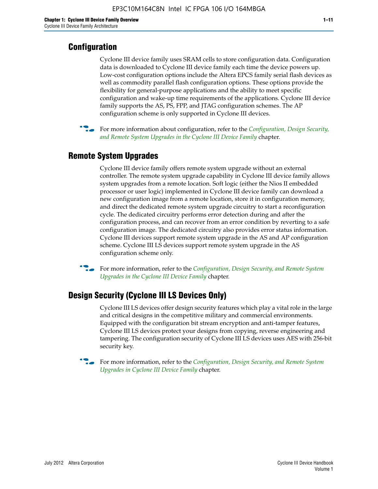#### **Configuration**

Cyclone III device family uses SRAM cells to store configuration data. Configuration data is downloaded to Cyclone III device family each time the device powers up. Low-cost configuration options include the Altera EPCS family serial flash devices as well as commodity parallel flash configuration options. These options provide the flexibility for general-purpose applications and the ability to meet specific configuration and wake-up time requirements of the applications. Cyclone III device family supports the AS, PS, FPP, and JTAG configuration schemes. The AP configuration scheme is only supported in Cyclone III devices.



f For more information about configuration, refer to the *[Configuration, Design Security,](http://www.altera.com/literature/hb/cyc3/cyc3_ciii51016.pdf)  [and Remote System Upgrades in the Cyclone III Device Family](http://www.altera.com/literature/hb/cyc3/cyc3_ciii51016.pdf)* chapter.

#### **Remote System Upgrades**

Cyclone III device family offers remote system upgrade without an external controller. The remote system upgrade capability in Cyclone III device family allows system upgrades from a remote location. Soft logic (either the Nios II embedded processor or user logic) implemented in Cyclone III device family can download a new configuration image from a remote location, store it in configuration memory, and direct the dedicated remote system upgrade circuitry to start a reconfiguration cycle. The dedicated circuitry performs error detection during and after the configuration process, and can recover from an error condition by reverting to a safe configuration image. The dedicated circuitry also provides error status information. Cyclone III devices support remote system upgrade in the AS and AP configuration scheme. Cyclone III LS devices support remote system upgrade in the AS configuration scheme only.

**For more information, refer to the** *Configuration*, Design Security, and Remote System *[Upgrades in the Cyclone III Device Family](http://www.altera.com/literature/hb/cyc3/cyc3_ciii51016.pdf)* chapter.

#### **Design Security (Cyclone III LS Devices Only)**

Cyclone III LS devices offer design security features which play a vital role in the large and critical designs in the competitive military and commercial environments. Equipped with the configuration bit stream encryption and anti-tamper features, Cyclone III LS devices protect your designs from copying, reverse engineering and tampering. The configuration security of Cyclone III LS devices uses AES with 256-bit security key.

f For more information, refer to the *[Configuration, Design Security, and Remote System](http://www.altera.com/literature/hb/cyc3/cyc3_ciii51016.pdf)  [Upgrades in Cyclone III Device Family](http://www.altera.com/literature/hb/cyc3/cyc3_ciii51016.pdf)* chapter.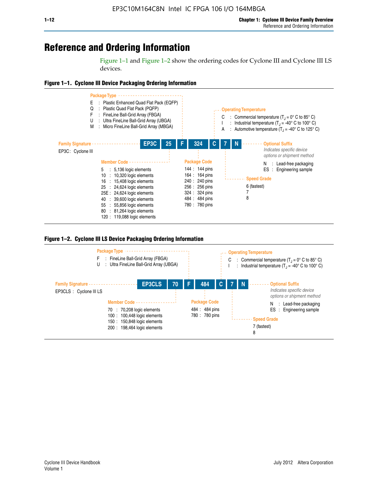## **Reference and Ordering Information**

Figure 1–1 and Figure 1–2 show the ordering codes for Cyclone III and Cyclone III LS devices.







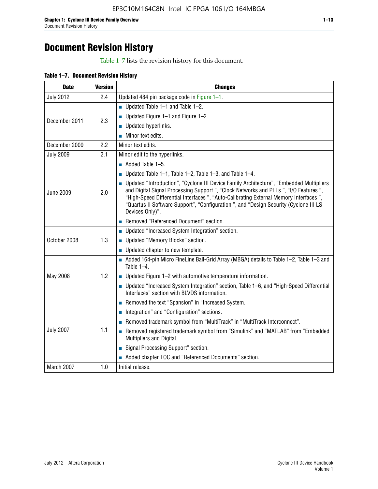# **Document Revision History**

Table 1–7 lists the revision history for this document.

|  | Table 1-7. Document Revision History |  |  |  |
|--|--------------------------------------|--|--|--|
|--|--------------------------------------|--|--|--|

| <b>Date</b>      | <b>Version</b> | <b>Changes</b>                                                                                                                                                                                                                                                                                                                                                                          |
|------------------|----------------|-----------------------------------------------------------------------------------------------------------------------------------------------------------------------------------------------------------------------------------------------------------------------------------------------------------------------------------------------------------------------------------------|
| <b>July 2012</b> | 2.4            | Updated 484 pin package code in Figure 1-1.                                                                                                                                                                                                                                                                                                                                             |
|                  |                | Updated Table $1-1$ and Table $1-2$ .                                                                                                                                                                                                                                                                                                                                                   |
| December 2011    | 2.3            | ■ Updated Figure $1-1$ and Figure $1-2$ .                                                                                                                                                                                                                                                                                                                                               |
|                  |                | Updated hyperlinks.                                                                                                                                                                                                                                                                                                                                                                     |
|                  |                | Minor text edits.                                                                                                                                                                                                                                                                                                                                                                       |
| December 2009    | 2.2            | Minor text edits.                                                                                                                                                                                                                                                                                                                                                                       |
| <b>July 2009</b> | 2.1            | Minor edit to the hyperlinks.                                                                                                                                                                                                                                                                                                                                                           |
|                  |                | $\blacksquare$ Added Table 1-5.                                                                                                                                                                                                                                                                                                                                                         |
|                  |                | Updated Table $1-1$ , Table $1-2$ , Table $1-3$ , and Table $1-4$ .                                                                                                                                                                                                                                                                                                                     |
| <b>June 2009</b> | 2.0            | • Updated "Introduction", "Cyclone III Device Family Architecture", "Embedded Multipliers<br>and Digital Signal Processing Support ", "Clock Networks and PLLs ", "I/O Features ",<br>"High-Speed Differential Interfaces ", "Auto-Calibrating External Memory Interfaces",<br>"Quartus II Software Support", "Configuration ", and "Design Security (Cyclone III LS<br>Devices Only)". |
|                  |                | Removed "Referenced Document" section.                                                                                                                                                                                                                                                                                                                                                  |
|                  |                | <b>Updated "Increased System Integration" section.</b>                                                                                                                                                                                                                                                                                                                                  |
| October 2008     | 1.3            | Updated "Memory Blocks" section.                                                                                                                                                                                                                                                                                                                                                        |
|                  |                | • Updated chapter to new template.                                                                                                                                                                                                                                                                                                                                                      |
|                  |                | Added 164-pin Micro FineLine Ball-Grid Array (MBGA) details to Table 1-2, Table 1-3 and<br>Table 1-4.                                                                                                                                                                                                                                                                                   |
| May 2008         | 1.2            | $\blacksquare$ Updated Figure 1-2 with automotive temperature information.                                                                                                                                                                                                                                                                                                              |
|                  |                | ■ Updated "Increased System Integration" section, Table 1–6, and "High-Speed Differential<br>Interfaces" section with BLVDS information.                                                                                                                                                                                                                                                |
|                  |                | Removed the text "Spansion" in "Increased System.                                                                                                                                                                                                                                                                                                                                       |
|                  |                | Integration" and "Configuration" sections.                                                                                                                                                                                                                                                                                                                                              |
|                  |                | Removed trademark symbol from "MultiTrack" in "MultiTrack Interconnect".                                                                                                                                                                                                                                                                                                                |
| <b>July 2007</b> | 1.1            | Removed registered trademark symbol from "Simulink" and "MATLAB" from "Embedded<br>Multipliers and Digital.                                                                                                                                                                                                                                                                             |
|                  |                | Signal Processing Support" section.                                                                                                                                                                                                                                                                                                                                                     |
|                  |                | Added chapter TOC and "Referenced Documents" section.                                                                                                                                                                                                                                                                                                                                   |
| March 2007       | 1.0            | Initial release.                                                                                                                                                                                                                                                                                                                                                                        |